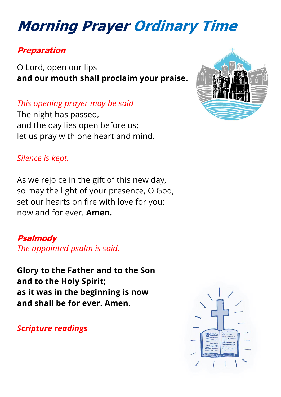# **Morning Prayer Ordinary Time**

#### **Preparation**

O Lord, open our lips **and our mouth shall proclaim your praise.**

*This opening prayer may be said*

The night has passed, and the day lies open before us; let us pray with one heart and mind.

#### *Silence is kept.*

As we rejoice in the gift of this new day, so may the light of your presence, O God, set our hearts on fire with love for you; now and for ever. **Amen.**

**[Psalmody](https://www.churchofengland.org/common-material/psalter#mm13a)** *The appointed psalm is said.*

**Glory to the Father and to the Son and to the Holy Spirit; as it was in the beginning is now and shall be for ever. Amen.**

*Scripture readings*



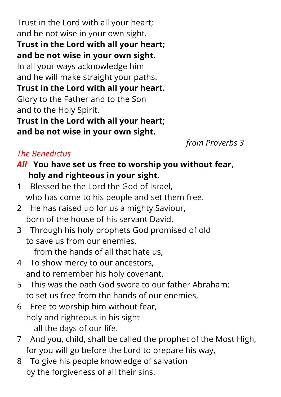Trust in the Lord with all your heart; and be not wise in your own sight. **Trust in the Lord with all your heart; and be not wise in your own sight.** In all your ways acknowledge him and he will make straight your paths. **Trust in the Lord with all your heart.** Glory to the Father and to the Son and to the Holy Spirit. **Trust in the Lord with all your heart; and be not wise in your own sight.**

*from Proverbs 3*

#### *The Benedictus*

- *All* **You have set us free to worship you without fear, holy and righteous in your sight.**
- 1 Blessed be the Lord the God of Israel, who has come to his people and set them free.
- 2 He has raised up for us a mighty Saviour, born of the house of his servant David.
- 3 Through his holy prophets God promised of old to save us from our enemies,

from the hands of all that hate us,

- 4 To show mercy to our ancestors, and to remember his holy covenant.
- 5 This was the oath God swore to our father Abraham: to set us free from the hands of our enemies,
- 6 Free to worship him without fear, holy and righteous in his sight all the days of our life.
- 7 And you, child, shall be called the prophet of the Most High, for you will go before the Lord to prepare his way,
- 8 To give his people knowledge of salvation by the forgiveness of all their sins.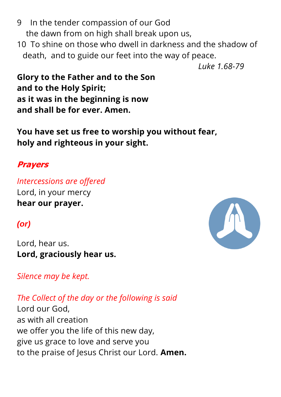- 9 In the tender compassion of our God the dawn from on high shall break upon us,
- 10 To shine on those who dwell in darkness and the shadow of death, and to guide our feet into the way of peace.

*Luke 1.68-79*

**Glory to the Father and to the Son and to the Holy Spirit; as it was in the beginning is now and shall be for ever. Amen.**

**You have set us free to worship you without fear, holy and righteous in your sight.**

### **Prayers**

*Intercessions are offered* Lord, in your mercy **hear our prayer.**

## *(or)*

Lord, hear us. **Lord, graciously hear us.**

*Silence may be kept.*

*The Collect of the day or the following is said*

Lord our God, as with all creation we offer you the life of this new day, give us grace to love and serve you to the praise of Jesus Christ our Lord. **Amen.**